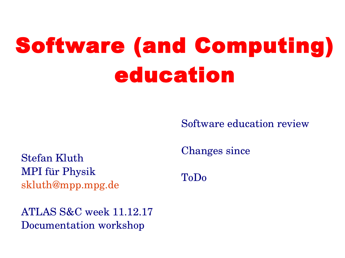# Software (and Computing) education

Software education review

Stefan Kluth MPI für Physik [skluth@mpp.mpg.de](mailto:skluth@mpp.mpg.de)

ATLAS S&C week 11.12.17 Documentation workshop

Changes since

ToDo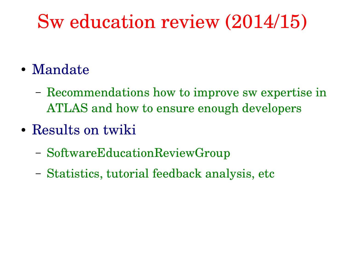#### Sw education review (2014/15)

- Mandate
	- Recommendations how to improve sw expertise in ATLAS and how to ensure enough developers
- Results on twiki
	- SoftwareEducationReviewGroup
	- Statistics, tutorial feedback analysis, etc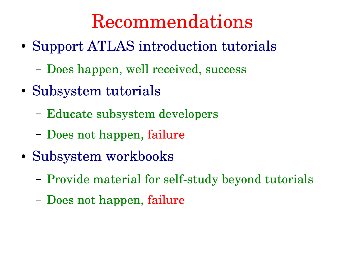#### Recommendations

- Support ATLAS introduction tutorials
	- Does happen, well received, success
- Subsystem tutorials
	- Educate subsystem developers
	- Does not happen, failure
- Subsystem workbooks
	- Provide material for self-study beyond tutorials
	- Does not happen, failure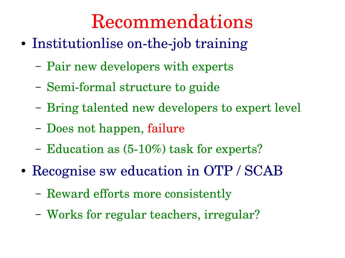#### Recommendations

- Institutionlise on-the-job training
	- Pair new developers with experts
	- Semi-formal structure to guide
	- Bring talented new developers to expert level
	- Does not happen, failure
	- Education as  $(5-10\%)$  task for experts?
- Recognise sw education in OTP / SCAB
	- Reward efforts more consistently
	- Works for regular teachers, irregular?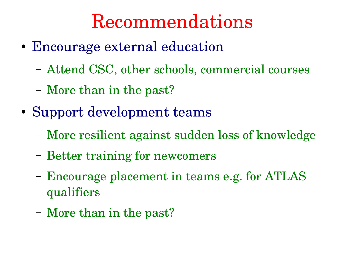#### Recommendations

- Encourage external education
	- Attend CSC, other schools, commercial courses
	- More than in the past?
- Support development teams
	- More resilient against sudden loss of knowledge
	- Better training for newcomers
	- Encourage placement in teams e.g. for ATLAS qualifiers
	- More than in the past?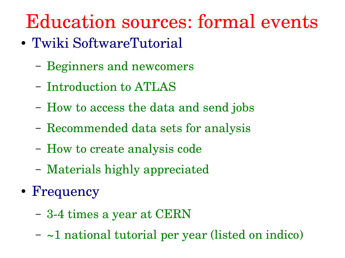## Education sources: formal events

- Twiki SoftwareTutorial
	- Beginners and newcomers
	- Introduction to ATLAS
	- How to access the data and send jobs
	- Recommended data sets for analysis
	- How to create analysis code
	- Materials highly appreciated
- Frequency
	- 34 times a year at CERN
	- ~1 national tutorial per year (listed on indico)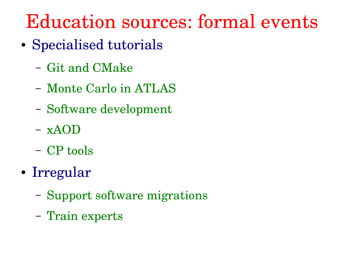#### Education sources: formal events

- Specialised tutorials
	- Git and CMake
	- Monte Carlo in ATLAS
	- Software development
	- xAOD
	- CP tools
- Irregular
	- Support software migrations
	- Train experts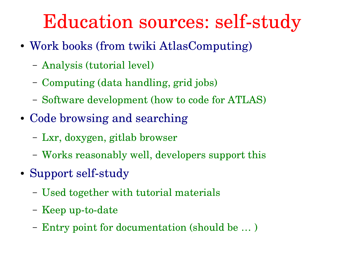#### Education sources: self-study

- Work books (from twiki AtlasComputing)
	- Analysis (tutorial level)
	- Computing (data handling, grid jobs)
	- Software development (how to code for ATLAS)
- Code browsing and searching
	- Lxr, doxygen, gitlab browser
	- Works reasonably well, developers support this
- Support self-study
	- Used together with tutorial materials
	- $-$  Keep up-to-date
	- Entry point for documentation (should be … )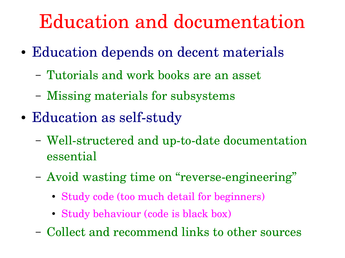#### Education and documentation

- Education depends on decent materials
	- Tutorials and work books are an asset
	- Missing materials for subsystems
- Education as self-study
	- Well-structered and up-to-date documentation essential
	- Avoid wasting time on "reverse-engineering"
		- Study code (too much detail for beginners)
		- Study behaviour (code is black box)
	- Collect and recommend links to other sources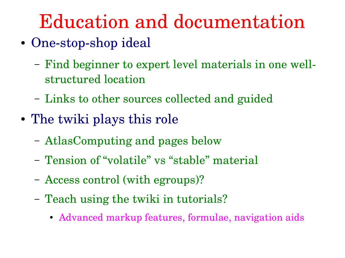#### Education and documentation

- One-stop-shop ideal
	- Find beginner to expert level materials in one wellstructured location
	- Links to other sources collected and guided
- The twiki plays this role
	- AtlasComputing and pages below
	- Tension of "volatile" vs "stable" material
	- Access control (with egroups)?
	- Teach using the twiki in tutorials?
		- Advanced markup features, formulae, navigation aids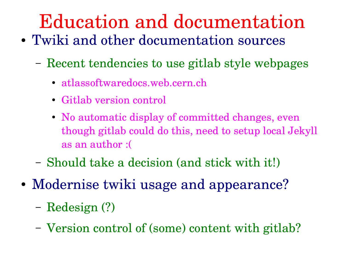# Education and documentation

- Twiki and other documentation sources
	- Recent tendencies to use gitlab style webpages
		- atlassoftwaredocs.web.cern.ch
		- Gitlab version control
		- No automatic display of committed changes, even though gitlab could do this, need to setup local Jekyll as an author :(
	- Should take a decision (and stick with it!)
- Modernise twiki usage and appearance?
	- Redesign (?)
	- Version control of (some) content with gitlab?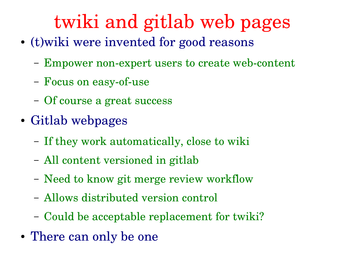### twiki and gitlab web pages

- (t) wiki were invented for good reasons
	- Empower non-expert users to create web-content
	- Focus on easy-of-use
	- Of course a great success
- Gitlab webpages
	- If they work automatically, close to wiki
	- All content versioned in gitlab
	- Need to know git merge review workflow
	- Allows distributed version control
	- Could be acceptable replacement for twiki?
- There can only be one